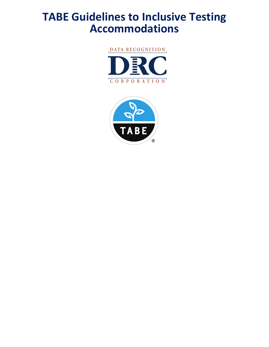# **TABE Guidelines to Inclusive Testing Accommodations**



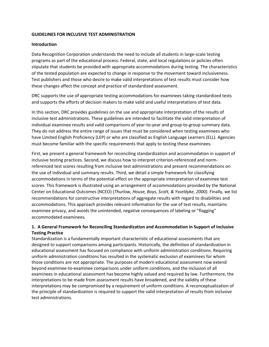## **GUIDELINES FOR INCLUSIVE TEST ADMINISTRATION**

## **Introduction**

Data Recognition Corporation understands the need to include all students in large-scale testing programs as part of the educational process. Federal, state, and local regulations or policies often stipulate that students be provided with appropriate accommodations during testing. The characteristics of the tested population are expected to change in response to the movement toward inclusiveness. Test publishers and those who desire to make valid interpretations of test results must consider how these changes affect the concept and practice of standardized assessment.

DRC supports the use of appropriate testing accommodations for examinees taking standardized tests and supports the efforts of decision makers to make valid and useful interpretations of test data.

In this section, DRC provides guidelines on the use and appropriate interpretation of the results of inclusive test administrations. These guidelines are intended to facilitate the valid interpretation of individual examinee results and valid comparisons of year-to-year and group-to-group summary data. They do not address the entire range of issues that must be considered when testing examinees who have Limited English Proficiency (LEP) or who are classified as English Language Learners (ELL). Agencies must become familiar with the specific requirements that apply to testing these examinees.

First, we present a general framework for reconciling standardization and accommodation in support of inclusive testing practices. Second, we discuss how to interpret criterion-referenced and normreferenced test scores resulting from inclusive test administrations and present recommendations on the use of individual and summary results. Third, we detail a simple framework for classifying accommodations in terms of the potential effect on the appropriate interpretation of examinee test scores. This framework is illustrated using an arrangement of accommodations provided by the National Center on Educational Outcomes (NCEO) (*Thurlow, House, Boys, Scott, & Ysseldyke, 2000).* Finally, we list recommendations for constructive interpretations of aggregate results with regard to disabilities and accommodations. This approach provides relevant information for the use of test results, maintains examinee privacy, and avoids the unintended, negative consequences of labeling or "flagging" accommodated examinees.

## **1. A General Framework for Reconciling Standardization and Accommodation in Support of Inclusive Testing Practice**

Standardization is a fundamentally important characteristic of educational assessments that are designed to support comparisons among participants. Historically, the definition of standardization in educational assessment has focused on compliance with uniform administration conditions. Requiring uniform administration conditions has resulted in the systematic exclusion of examinees for whom those conditions are not appropriate. The purposes of modern educational assessment now extend beyond examinee-to-examinee comparisons under uniform conditions, and the inclusion of all examinees in educational assessment has become highly valued and required by law. Furthermore, the interpretations to be made from assessment results have broadened, and the validity of these interpretations may be compromised by a requirement of uniform conditions. A reconceptualization of the principle of standardization is required to support the valid interpretation of results from inclusive test administrations.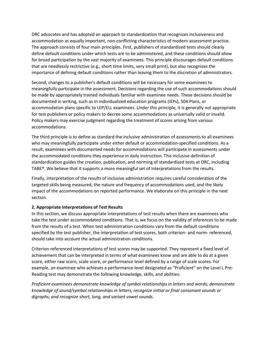DRC advocates and has adopted an approach to standardization that recognizes inclusiveness and accommodation as equally important, non-conflicting characteristics of modern assessment practice. The approach consists of four main principles. First, publishers of standardized tests should clearly define default conditions under which tests are to be administered, and these conditions should allow for broad participation by the vast majority of examinees. This principle discourages default conditions that are needlessly restrictive (e.g., short time limits, very small print), but also recognizes the importance of defining default conditions rather than leaving them to the discretion of administrators.

Second, changes to a publisher's default conditions will be necessary for some examinees to meaningfully participate in the assessment. Decisions regarding the use of such accommodations should be made by appropriately trained individuals familiar with examinee needs. These decisions should be documented in writing, such as in individualized education programs (IEPs), 504 Plans, or accommodation plans specific to LEP/ELL examinees. Under this principle, it is generally not appropriate for test publishers or policy makers to decree some accommodations as universally valid or invalid. Policy makers may exercise judgment regarding the treatment of scores arising from various accommodations.

The third principle is to define as standard the inclusive administration of assessments to all examinees who may meaningfully participate under either default or accommodation-specified conditions. As a result, examinees with documented needs for accommodations will participate in assessments under the accommodated conditions they experience in daily instruction. This inclusive definition of standardization guides the creation, publication, and norming of standardized tests at DRC, including TABE®. We believe that it supports a more meaningful set of interpretations from the results.

Finally, interpretation of the results of inclusive administration requires careful consideration of the targeted skills being measured, the nature and frequency of accommodations used, and the likely impact of the accommodations on reported performance. We elaborate on this principle in the next section.

## **2. Appropriate Interpretations of Test Results**

In this section, we discuss appropriate interpretations of test results when there are examinees who take the test under accommodated conditions. That is, we focus on the validity of inferences to be made from the results of a test. When test administration conditions vary from the default conditions specified by the test publisher, the interpretation of test scores, both criterion- and norm- referenced, should take into account the actual administration conditions.

Criterion-referenced interpretations of test scores may be supported. They represent a fixed level of achievement that can be interpreted in terms of what examinees know and are able to do at a given score, either raw score, scale score, or performance level defined by a range of scale scores. For example, an examinee who achieves a performance level designated as "Proficient" on the Level L Pre-Reading test may demonstrate the following knowledge, skills, and abilities:

*Proficient examinees demonstrate knowledge of symbol relationships in letters and words; demonstrate knowledge of sound/symbol relationships in letters; recognize initial or final consonant sounds or digraphs; and recognize short, long, and variant vowel sounds.*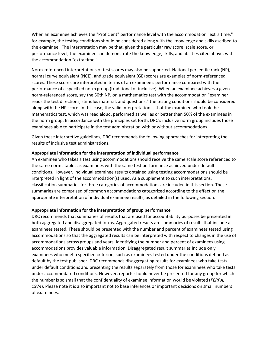When an examinee achieves the "Proficient" performance level with the accommodation "extra time," for example, the testing conditions should be considered along with the knowledge and skills ascribed to the examinee. The interpretation may be that, given the particular raw score, scale score, or performance level, the examinee can demonstrate the knowledge, skills, and abilities cited above, with the accommodation "extra time."

Norm-referenced interpretations of test scores may also be supported. National percentile rank (NP), normal curve equivalent (NCE), and grade equivalent (GE) scores are examples of norm-referenced scores. These scores are interpreted in terms of an examinee's performance compared with the performance of a specified norm group (traditional or inclusive). When an examinee achieves a given norm-referenced score, say the 50th NP, on a mathematics test with the accommodation "examiner reads the test directions, stimulus material, and questions," the testing conditions should be considered along with the NP score. In this case, the valid interpretation is that the examinee who took the mathematics test, which was read aloud, performed as well as or better than 50% of the examinees in the norm group. In accordance with the principles set forth, DRC's inclusive norm group includes those examinees able to participate in the test administration with or without accommodations.

Given these interpretive guidelines, DRC recommends the following approaches for interpreting the results of inclusive test administrations.

#### **Appropriate information for the interpretation of individual performance**

An examinee who takes a test using accommodations should receive the same scale score referenced to the same norms tables as examinees with the same test performance achieved under default conditions. However, individual examinee results obtained using testing accommodations should be interpreted in light of the accommodation(s) used. As a supplement to such interpretations, classification summaries for three categories of accommodations are included in this section. These summaries are comprised of common accommodations categorized according to the effect on the appropriate interpretation of individual examinee results, as detailed in the following section.

#### **Appropriate information for the interpretation of group performance**

DRC recommends that summaries of results that are used for accountability purposes be presented in both aggregated and disaggregated forms. Aggregated results are summaries of results that include all examinees tested. These should be presented with the number and percent of examinees tested using accommodations so that the aggregated results can be interpreted with respect to changes in the use of accommodations across groups and years. Identifying the number and percent of examinees using accommodations provides valuable information. Disaggregated result summaries include only examinees who meet a specified criterion, such as examinees tested under the conditions defined as default by the test publisher. DRC recommends disaggregating results for examinees who take tests under default conditions and presenting the results separately from those for examinees who take tests under accommodated conditions. However, reports should never be presented for any group for which the number is so small that the confidentiality of examinee information would be violated (*FERPA, 1974*). Please note it is also important not to base inferences or important decisions on small numbers of examinees.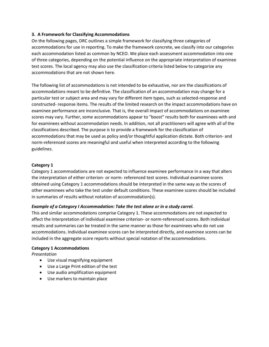## **3. A Framework for Classifying Accommodations**

On the following pages, DRC outlines a simple framework for classifying three categories of accommodations for use in reporting. To make the framework concrete, we classify into our categories each accommodation listed as common by NCEO. We place each assessment accommodation into one of three categories, depending on the potential influence on the appropriate interpretation of examinee test scores. The local agency may also use the classification criteria listed below to categorize any accommodations that are not shown here.

The following list of accommodations is not intended to be exhaustive, nor are the classifications of accommodations meant to be definitive. The classification of an accommodation may change for a particular test or subject area and may vary for different item types, such as selected-response and constructed- response items. The results of the limited research on the impact accommodations have on examinee performance are inconclusive. That is, the overall impact of accommodations on examinee scores may vary. Further, some accommodations appear to "boost" results both for examinees with and for examinees without accommodation needs. In addition, not all practitioners will agree with all of the classifications described. The purpose is to provide a framework for the classification of accommodations that may be used as policy and/or thoughtful application dictate. Both criterion- and norm-referenced scores are meaningful and useful when interpreted according to the following guidelines.

## **Category 1**

Category 1 accommodations are not expected to influence examinee performance in a way that alters the interpretation of either criterion- or norm- referenced test scores. Individual examinee scores obtained using Category 1 accommodations should be interpreted in the same way as the scores of other examinees who take the test under default conditions. These examinee scores should be included in summaries of results without notation of accommodation(s).

## *Example of a Category I Accommodation: Take the test alone or in a study carrel.*

This and similar accommodations comprise Category 1. These accommodations are not expected to affect the interpretation of individual examinee criterion- or norm-referenced scores. Both individual results and summaries can be treated in the same manner as those for examinees who do not use accommodations. Individual examinee scores can be interpreted directly, and examinee scores can be included in the aggregate score reports without special notation of the accommodations.

## **Category 1 Accommodations**

*Presentation*

- Use visual magnifying equipment
- Use a Large Print edition of the test
- Use audio amplification equipment
- Use markers to maintain place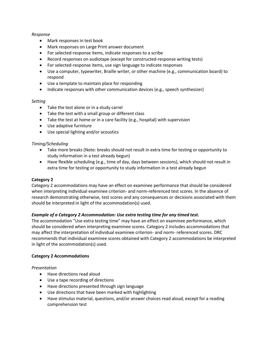## *Response*

- Mark responses in test book
- Mark responses on Large Print answer document
- For selected-response items, indicate responses to a scribe
- Record responses on audiotape (except for constructed-response writing tests)
- For selected-response items, use sign language to indicate responses
- Use a computer, typewriter, Braille writer, or other machine (e.g., communication board) to respond
- Use a template to maintain place for responding
- Indicate responses with other communication devices (e.g., speech synthesizer)

#### *Setting*

- Take the test alone or in a study carrel
- Take the test with a small group or different class
- Take the test at home or in a care facility (e.g., hospital) with supervision
- Use adaptive furniture
- Use special lighting and/or acoustics

## *Timing/Scheduling*

- Take more breaks (Note: breaks should not result in extra time for testing or opportunity to study information in a test already begun)
- Have flexible scheduling (e.g., time of day, days between sessions), which should not result in extra time for testing or opportunity to study information in a test already begun

## **Category 2**

Category 2 accommodations may have an effect on examinee performance that should be considered when interpreting individual examinee criterion- and norm-referenced test scores. In the absence of research demonstrating otherwise, test scores and any consequences or decisions associated with them should be interpreted in light of the accommodation(s) used.

## *Example of a Category 2 Accommodation: Use extra testing time for any timed test.*

The accommodation "Use extra testing time" may have an effect on examinee performance, which should be considered when interpreting examinee scores. Category 2 includes accommodations that may affect the interpretation of individual examinee criterion- and norm- referenced scores. DRC recommends that individual examinee scores obtained with Category 2 accommodations be interpreted in light of the accommodation(s) used.

## **Category 2 Accommodations**

#### *Presentation*

- Have directions read aloud
- Use a tape recording of directions
- Have directions presented through sign language
- Use directions that have been marked with highlighting
- Have stimulus material, questions, and/or answer choices read aloud, except for a reading comprehension test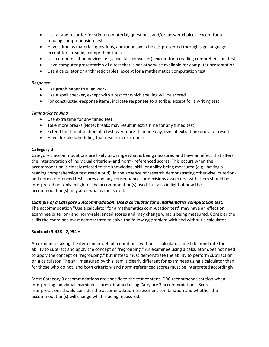- Use a tape recorder for stimulus material, questions, and/or answer choices, except for a reading comprehension test
- Have stimulus material, questions, and/or answer choices presented through sign language, except for a reading comprehension test
- Use communication devices (e.g., text-talk converter), except for a reading comprehension test
- Have computer presentation of a test that is not otherwise available for computer presentation
- Use a calculator or arithmetic tables, except for a mathematics computation test

#### *Response*

- Use graph paper to align work
- Use a spell checker, except with a test for which spelling will be scored
- For constructed-response items, indicate responses to a scribe, except for a writing test

## *Timing/Scheduling*

- Use extra time for any timed test
- Take more breaks (Note: breaks may result in extra rime for any timed test)
- Extend the timed section of a test over more than one day, even if extra time does not result
- Have flexible scheduling that results in extra time

## **Category 3**

Category 3 accommodations are likely to change what is being measured and have an effect that alters the interpretation of individual criterion- and norm- referenced scores. This occurs when the accommodation is closely related to the knowledge, skill, or ability being measured (e.g., having a reading comprehension test read aloud). In the absence of research demonstrating otherwise, criterionand norm-referenced test scores and any consequences or decisions associated with them should be interpreted not only in light of the accommodation(s) used, but also in light of how the accommodation(s) may alter what is measured.

## *Example of a Category 3 Accommodation: Use a calculator for a mathematics computation test.*

The accommodation "Use a calculator for a mathematics computation test" may have an effect on examinee criterion- and norm-referenced scores and may change what is being measured. Consider the skills the examinee must demonstrate to solve the following problem with and without a calculator.

## **Subtract: 3,438 - 2,954 =**

An examinee taking the item under default conditions, without a calculator, must demonstrate the ability to subtract and apply the concept of "regrouping." An examinee using a calculator does not need to apply the concept of "regrouping," but instead must demonstrate the ability to perform subtraction on a calculator. The skill measured by this item is clearly different for examinees using a calculator than for those who do not, and both criterion- and norm-referenced scores must be interpreted accordingly.

Most Category 3 accommodations are specific to the test content. DRC recommends caution when interpreting individual examinee scores obtained using Category 3 accommodations. Score interpretations should consider the accommodation-assessment combination and whether the accommodation(s) will change what is being measured.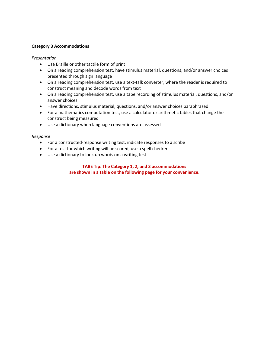## **Category 3 Accommodations**

## *Presentation*

- Use Braille or other tactile form of print
- On a reading comprehension test, have stimulus material, questions, and/or answer choices presented through sign language
- On a reading comprehension test, use a text-talk converter, where the reader is required to construct meaning and decode words from text
- On a reading comprehension test, use a tape recording of stimulus material, questions, and/or answer choices
- Have directions, stimulus material, questions, and/or answer choices paraphrased
- For a mathematics computation test, use a calculator or arithmetic tables that change the construct being measured
- Use a dictionary when language conventions are assessed

## *Response*

- For a constructed-response writing test, indicate responses to a scribe
- For a test for which writing will be scored, use a spell checker
- Use a dictionary to look up words on a writing test

## **TABE Tip: The Category 1, 2, and 3 accommodations are shown in a table on the following page for your convenience.**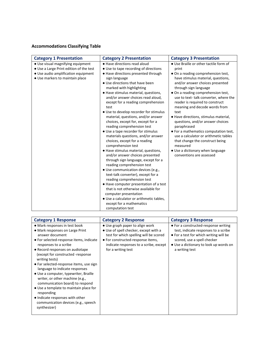## **Accommodations Classifying Table**

| <b>Category 1 Presentation</b>                                         | <b>Category 2 Presentation</b>                                                                                                                                                                                                                                                                                                                                                                                                                                                                                                                                                                                                                                                                                                                                                                                                                                                  | <b>Category 3 Presentation</b>                                                                                                                                                                                                                                                                                                                                                                                                                                                                                                                                                               |
|------------------------------------------------------------------------|---------------------------------------------------------------------------------------------------------------------------------------------------------------------------------------------------------------------------------------------------------------------------------------------------------------------------------------------------------------------------------------------------------------------------------------------------------------------------------------------------------------------------------------------------------------------------------------------------------------------------------------------------------------------------------------------------------------------------------------------------------------------------------------------------------------------------------------------------------------------------------|----------------------------------------------------------------------------------------------------------------------------------------------------------------------------------------------------------------------------------------------------------------------------------------------------------------------------------------------------------------------------------------------------------------------------------------------------------------------------------------------------------------------------------------------------------------------------------------------|
| • Use visual magnifying equipment                                      | • Have directions read aloud                                                                                                                                                                                                                                                                                                                                                                                                                                                                                                                                                                                                                                                                                                                                                                                                                                                    | • Use Braille or other tactile form of                                                                                                                                                                                                                                                                                                                                                                                                                                                                                                                                                       |
| • Use a Large Print edition of the test                                | • Use to tape recording of directions                                                                                                                                                                                                                                                                                                                                                                                                                                                                                                                                                                                                                                                                                                                                                                                                                                           | print                                                                                                                                                                                                                                                                                                                                                                                                                                                                                                                                                                                        |
| • Use audio amplification equipment<br>• Use markers to maintain place | • Have directions presented through<br>sign language<br>• Use directions that have been<br>marked with highlighting<br>• Have stimulus material, questions,<br>and/or answer choices read aloud,<br>except for a reading comprehension<br>test<br>• Use to develop recorder for stimulus<br>material, questions, and/or answer<br>choices, except for, except for a<br>reading comprehension test<br>• Use a tape recorder for stimulus<br>materials questions, and/or answer<br>choices, except for a reading<br>comprehension test<br>• Have stimulus material, questions,<br>and/or answer choices presented<br>through sign language, except for a<br>reading comprehension test<br>• Use communication devices (e.g.,<br>text-talk converter), except for a<br>reading comprehension test<br>• Have computer presentation of a test<br>that is not otherwise available for | • On a reading comprehension test,<br>have stimulus material, questions,<br>and/or answer choices presented<br>through sign language<br>• On a reading comprehension test,<br>use to text-talk converter, where the<br>reader is required to construct<br>meaning and decode words from<br>text<br>• Have directions, stimulus material,<br>questions, and/or answer choices<br>paraphrased<br>• For a mathematics computation test,<br>use a calculator or arithmetic tables<br>that change the construct being<br>measured<br>• Use a dictionary when language<br>conventions are assessed |
|                                                                        | computer presentation<br>• Use a calculator or arithmetic tables,<br>except for a mathematics<br>computation test                                                                                                                                                                                                                                                                                                                                                                                                                                                                                                                                                                                                                                                                                                                                                               |                                                                                                                                                                                                                                                                                                                                                                                                                                                                                                                                                                                              |

| <b>Category 1 Response</b>                                                                                                                                                                                                                                                                                                                                                                                                                                                                                                                                                                       | <b>Category 2 Response</b>                                                                                                                                                                                              | <b>Category 3 Response</b>                                                                                                                                                                                        |
|--------------------------------------------------------------------------------------------------------------------------------------------------------------------------------------------------------------------------------------------------------------------------------------------------------------------------------------------------------------------------------------------------------------------------------------------------------------------------------------------------------------------------------------------------------------------------------------------------|-------------------------------------------------------------------------------------------------------------------------------------------------------------------------------------------------------------------------|-------------------------------------------------------------------------------------------------------------------------------------------------------------------------------------------------------------------|
| • Mark responses in test book<br>• Mark responses on Large Print<br>answer document<br>• For selected-response items, indicate<br>responses to a scribe<br>• Record responses on audiotape<br>(except for constructed -response)<br>writing tests)<br>• Far selected-response items, use sign<br>language to indicate responses<br>• Use a computer, typewriter, Braille<br>writer, or other machine (e.g.,<br>communication board) to respond<br>• Use a template to maintain place for<br>responding<br>• Indicate responses with other<br>communication devices (e.g., speech<br>synthesizer) | • Use graph paper to align work<br>• Use of spell checker, except with a<br>test for which spelling will be scored<br>• For constructed-response items,<br>indicate responses to a scribe, except<br>for a writing test | • For a constructed-response writing<br>test, indicate responses to a scribe<br>• For a test for which writing will be<br>scored, use a spell checker<br>• Use a dictionary to look up words on<br>a writing test |
|                                                                                                                                                                                                                                                                                                                                                                                                                                                                                                                                                                                                  |                                                                                                                                                                                                                         |                                                                                                                                                                                                                   |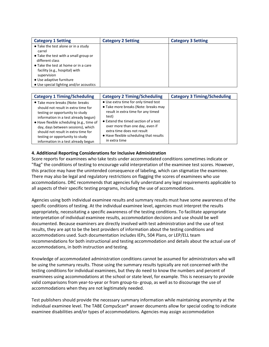| <b>Category 1 Setting</b>                                                             | <b>Category 2 Setting</b> | <b>Category 3 Setting</b> |
|---------------------------------------------------------------------------------------|---------------------------|---------------------------|
| • Take the test alone or in a study<br>carrel                                         |                           |                           |
| • Take the test with a small group or<br>different class                              |                           |                           |
| • Take the test at home or in a care<br>facility (e.g., hospital) with<br>supervision |                           |                           |
| • Use adaptive furniture<br>• Use special lighting and/or acoustics                   |                           |                           |

| <b>Category 1 Timing/Scheduling</b>                                                                                                                                                                                                                                                                                                                    | <b>Category 2 Timing/Scheduling</b>                                                                                                                                                                                                                                                              | <b>Category 3 Timing/Scheduling</b> |
|--------------------------------------------------------------------------------------------------------------------------------------------------------------------------------------------------------------------------------------------------------------------------------------------------------------------------------------------------------|--------------------------------------------------------------------------------------------------------------------------------------------------------------------------------------------------------------------------------------------------------------------------------------------------|-------------------------------------|
| • Take more breaks (Note: breaks<br>should not result in extra time for<br>testing or opportunity to study<br>information in a test already begun)<br>· Have flexible scheduling (e.g., time of<br>day, days between sessions), which<br>should not result in extra time for<br>testing or opportunity to study<br>information in a test already begun | • Use extra time for only timed test<br>• Take more breaks (Note: breaks may<br>result in extra time for any timed<br>test)<br>• Extend the timed section of a test<br>over more than one day, even if<br>extra time does not result<br>• Have flexible scheduling that results<br>in extra time |                                     |

## **4. Additional Reporting Considerations for Inclusive Administration**

Score reports for examinees who take tests under accommodated conditions sometimes indicate or "flag" the conditions of testing to encourage valid interpretation of the examinee test scores. However, this practice may have the unintended consequence of labeling, which can stigmatize the examinee. There may also be legal and regulatory restrictions on flagging the scores of examinees who use accommodations. DRC recommends that agencies fully understand any legal requirements applicable to all aspects of their specific testing programs, including the use of accommodations.

Agencies using both individual examinee results and summary results must have some awareness of the specific conditions of testing. At the individual examinee level, agencies must interpret the results appropriately, necessitating a specific awareness of the testing conditions. To facilitate appropriate interpretation of individual examinee results, accommodation decisions and use should be well documented. Because examiners are directly involved with test administration and the use of test results, they are apt to be the best providers of information about the testing conditions and accommodations used. Such documentation includes IEPs, 504 Plans, or LEP/ELL team recommendations for both instructional and testing accommodation and details about the actual use of accommodations, in both instruction and testing.

Knowledge of accommodated administration conditions cannot be assumed for administrators who will be using the summary results. Those using the summary results typically are not concerned with the testing conditions for individual examinees, but they do need to know the numbers and percent of examinees using accommodations at the school or state level, for example. This is necessary to provide valid comparisons from year-to-year or from group-to- group, as well as to discourage the use of accommodations when they are not legitimately needed.

Test publishers should provide the necessary summary information while maintaining anonymity at the individual examinee level. The TABE CompuScan® answer documents allow for special coding to indicate examinee disabilities and/or types of accommodations. Agencies may assign accommodation